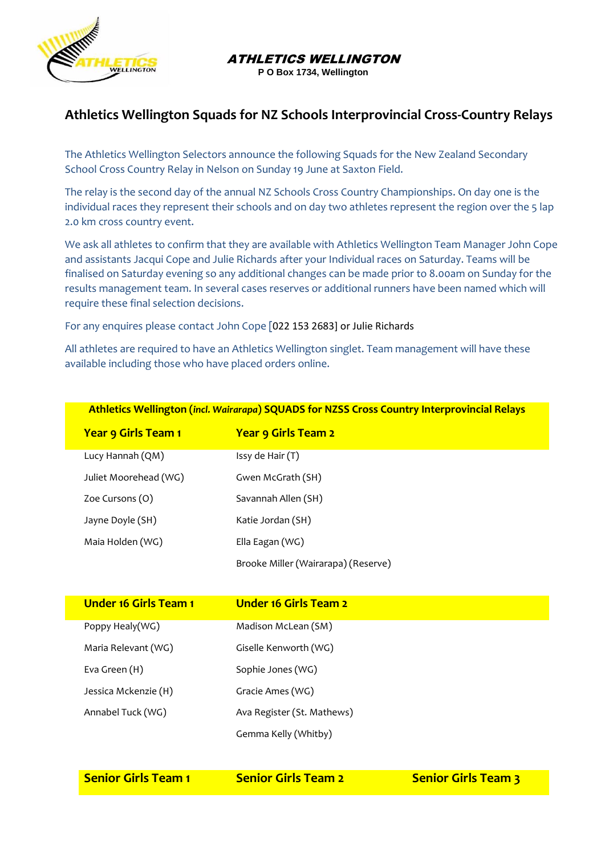

ATHLETICS WELLINGTON

**P O Box 1734, Wellington**

## **Athletics Wellington Squads for NZ Schools Interprovincial Cross-Country Relays**

The Athletics Wellington Selectors announce the following Squads for the New Zealand Secondary School Cross Country Relay in Nelson on Sunday 19 June at Saxton Field.

The relay is the second day of the annual NZ Schools Cross Country Championships. On day one is the individual races they represent their schools and on day two athletes represent the region over the 5 lap 2.0 km cross country event.

We ask all athletes to confirm that they are available with Athletics Wellington Team Manager John Cope and assistants Jacqui Cope and Julie Richards after your Individual races on Saturday. Teams will be finalised on Saturday evening so any additional changes can be made prior to 8.00am on Sunday for the results management team. In several cases reserves or additional runners have been named which will require these final selection decisions.

For any enquires please contact John Cope [022 153 2683] or Julie Richards

All athletes are required to have an Athletics Wellington singlet. Team management will have these available including those who have placed orders online.

| <b>Athletics Wellington (incl. Wairarapa) SQUADS for NZSS Cross Country Interprovincial Relays</b> |  |  |
|----------------------------------------------------------------------------------------------------|--|--|
| <b>Year 9 Girls Team 2</b>                                                                         |  |  |
| Issy de Hair (T)                                                                                   |  |  |
| Gwen McGrath (SH)                                                                                  |  |  |
| Savannah Allen (SH)                                                                                |  |  |
| Katie Jordan (SH)                                                                                  |  |  |
| Ella Eagan (WG)                                                                                    |  |  |
| Brooke Miller (Wairarapa) (Reserve)                                                                |  |  |
|                                                                                                    |  |  |

| <b>Under 16 Girls Team 1</b> | <b>Under 16 Girls Team 2</b> |
|------------------------------|------------------------------|
| Poppy Healy(WG)              | Madison McLean (SM)          |
| Maria Relevant (WG)          | Giselle Kenworth (WG)        |
| Eva Green (H)                | Sophie Jones (WG)            |
| Jessica Mckenzie (H)         | Gracie Ames (WG)             |
| Annabel Tuck (WG)            | Ava Register (St. Mathews)   |
|                              | Gemma Kelly (Whitby)         |

| <b>Senior Girls Team 1</b> | <b>Senior Girls Team 2</b> | <b>Senior Girls Team 3</b> |
|----------------------------|----------------------------|----------------------------|
|                            |                            |                            |